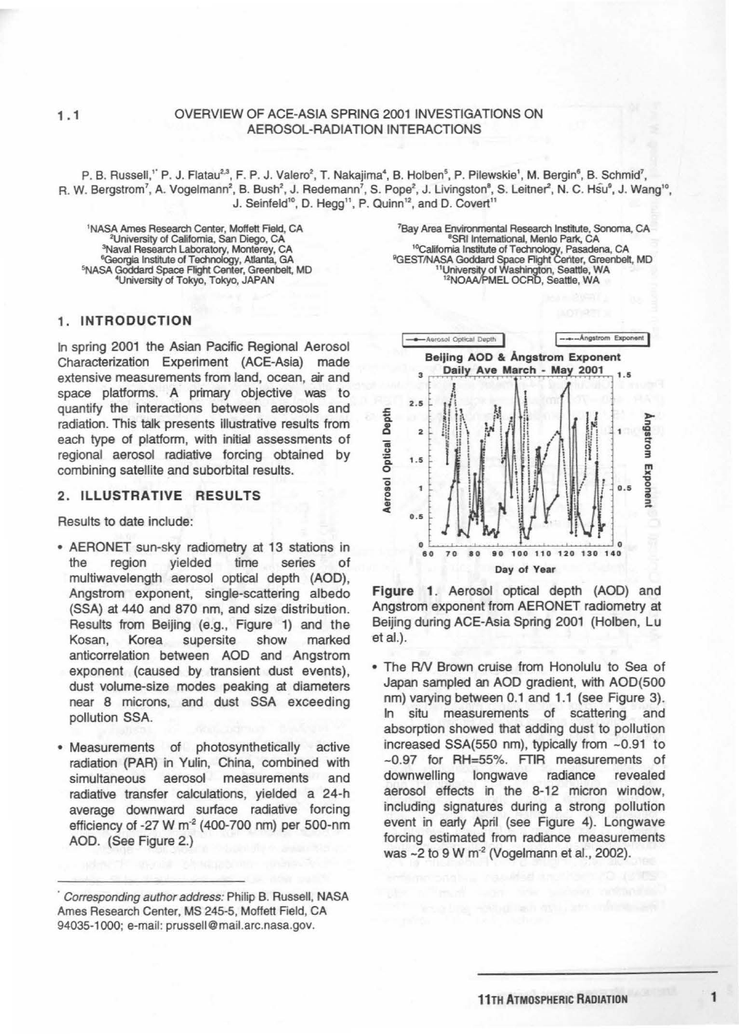## 1.1 OVERVIEW OF ACE-ASIA SPRING 2001 INVESTIGATIONS ON AEROSOL-RADIATION INTERACTIONS

P. B. Russell,'`P. J. Flatau<sup>2.3</sup>, F. P. J. Valero<sup>2</sup>, T. Nakajima<sup>4</sup>, B. Holben<sup>5</sup>, P. Pilewskie', M. Bergin<sup>6</sup>, B. Schmid<sup>7</sup>, R. W. Bergstrom<sup>7</sup>, A. Vogelmann<sup>2</sup>, B. Bush<sup>2</sup>, J. Redemann<sup>7</sup>, S. Pope<sup>2</sup>, J. Livingston<sup>8</sup>, S. Leitner<sup>2</sup>, N. C. Hsu<sup>9</sup>, J. Wang<sup>10</sup>, J. Seinfeld<sup>10</sup>, D. Hegg<sup>11</sup>, P. Quinn<sup>12</sup>, and D. Covert<sup>11</sup>

<sup>1</sup>NASA Ames Research Center, Moffett Field, CA 2University of California, San Diego, CA <sup>3</sup>Naval Research Laboratory, Monterey, CA<br><sup>6</sup>Georgia Institute of Technology, Atlanta, GA <sup>5</sup>NASA Goddard Space Flight Center, Greenbelt, MD <sup>4</sup>University of Tokyo, Tokyo, JAPAN

# <sup>7</sup>Bay Area Environmental Research Institute, Sonoma, CA <sup>8</sup> SRI International, Menlo Park, CA <sup>10</sup>Califomia Institute of Technology, Pasadena, CA<br>
<sup>9</sup>GEST/NASA Goddard Space Flight Ceriter, Greenbelt, MD<br>
<sup>12</sup>NOAA/PMEL OCRD, Seattle, WA<br>
<sup>12</sup>NOAA/PMEL OCRD, Seattle, WA

## 1. INTRODUCTION

In spring 2001 the Asian Pacific Regional Aerosol Characterization Experiment (ACE-Asia) made extensive measurements from land, ocean, air and space platforms. A primary objective was to quantify the interactions between aerosols and radiation. This talk presents illustrative results from each type of platform, with initial assessments of regional aerosol radiative forcing obtained by combining satellite and suborbital results.

### 2. ILLUSTRATIVE RESULTS

Results to date include:

- AERONET sun-sky radiometry at 13 stations in the region yielded time series of multiwavelength aerosol optical depth (AOD), Angstrom exponent, single-scattering albedo (SSA) at 440 and 870 nm, and size distribution. Results from Beijing (e.g., Figure 1) and the Kosan, Korea supersite show marked anticorrelation between AOD and Angstrom exponent (caused by transient dust events), dust volume-size modes peaking at diameters near 8 microns, and dust SSA exceeding pollution SSA.
- Measurements of photosynthetically active radiation (PAR) in Yulin, China, combined with simultaneous aerosol measurements and radiative transfer calculations, yielded a 24-h average downward surface radiative forcing efficiency of -27 W  $m<sup>2</sup>$  (400-700 nm) per 500-nm AOD. (See Figure 2.)



Figure 1. Aerosol optical depth (AOD) and Angstrom exponent from AERONET radiometry at Beijing during ACE-Asia Spring 2001 (Holben, Lu et al.).

• The AN Brown cruise from Honolulu to Sea of Japan sampled an AOD gradient, with AOD(SOO nm) varying between 0.1 and 1.1 (see Figure 3). In situ measurements of scattering and absorption showed that adding dust to pollution increased SSA(550 nm), typically from -0.91 to -0.97 for RH=55%. FTIR measurements of downwelling longwave radiance revealed aerosol effects in the 8-12 micron window, including signatures during a strong pollution event in earty April (see Figure 4). Longwave forcing estimated from radiance measurements was ~2 to 9 W m<sup>-2</sup> (Vogelmann et al., 2002).

Corresponding author address: Philip B. Russell, NASA Ames Research Center, MS 245-5, Moffett Field, CA 94035-1 000; e-mail: prussell@ mail.arc.nasa.gov.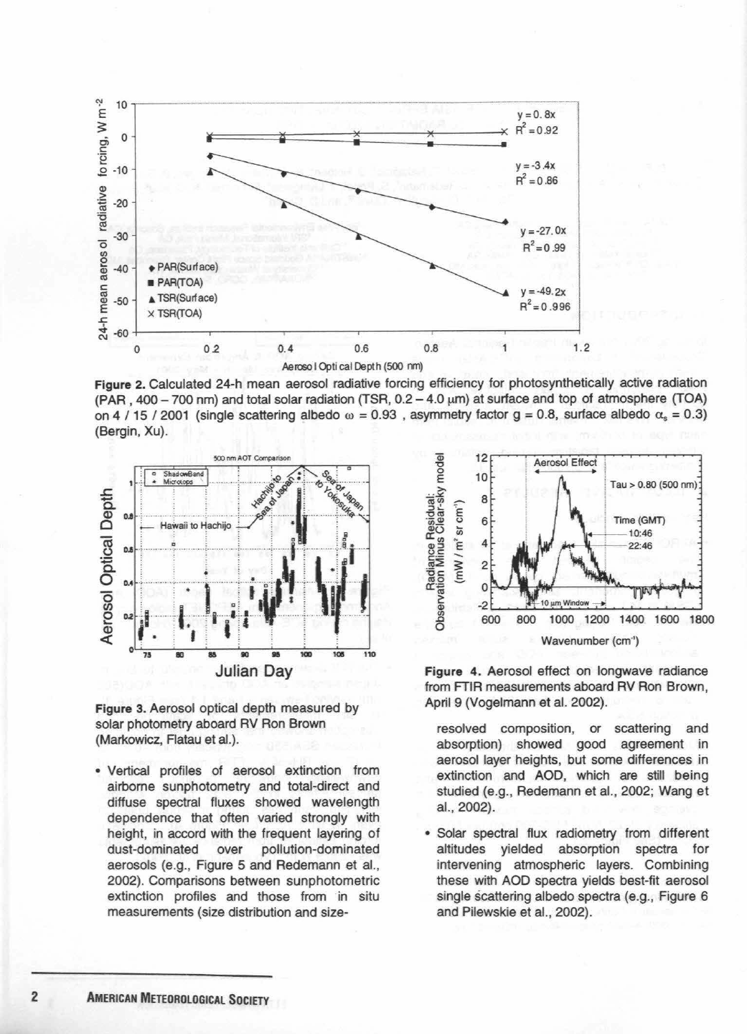

Figure 2. Calculated 24-h mean aerosol radiative forcing efficiency for photosynthetically active radiation  $(PAR, 400-700$  nm) and total solar radiation (TSR,  $0.2-4.0 \mu m$ ) at surface and top of atmosphere (TOA) on 4 / 15 / 2001 (single scattering albedo  $\omega = 0.93$ , asymmetry factor g = 0.8, surface albedo  $\alpha_s = 0.3$ ) (Bergin, Xu}.



Figure 3. Aerosol optical depth measured by solar photometry aboard RV Ron Brown (Markowicz, Flatau et al.}.

• Vertical profiles of aerosol extinction from airborne sunphotometry and total-direct and diffuse spectral fluxes showed wavelength dependence that often varied strongly with height, in accord with the frequent layering of dust-dominated over pollution-dominated aerosols (e.g., Figure 5 and Redemann et al., 2002}. Comparisons between sunphotometric extinction profiles and those from in situ measurements (size distribution and size-



Figure 4. Aerosol effect on longwave radiance from FTIR measurements aboard RV Ron Brown, April 9 (Vogelmann et al. 2002}.

resolved composition, or scattering and absorption} showed good agreement in aerosol layer heights, but some differences in extinction and AOD, which are still being studied (e.g., Redemann et al., 2002; Wang et al., 2002}.

• Solar spectral flux radiometry from different altitudes yielded absorption spectra for intervening atmospheric layers. Combining these with AOD spectra yields best-fit aerosol single scattering albedo spectra (e.g., Figure 6 and Pilewskie et al., 2002).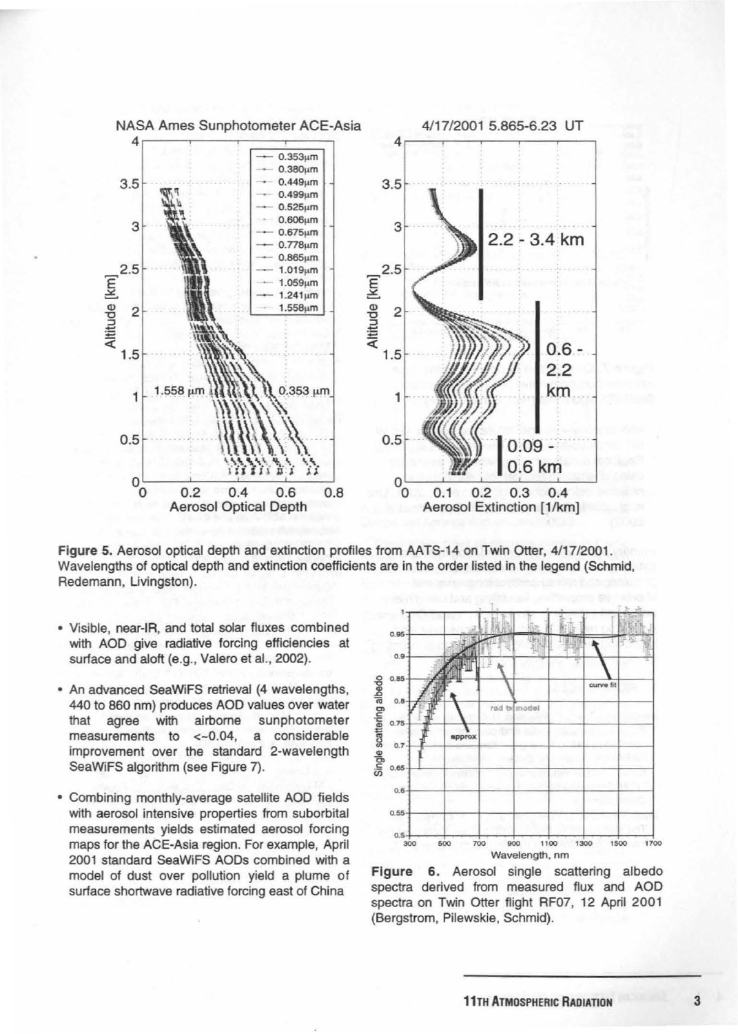

Figure 5. Aerosol optical depth and extinction profiles from AATS-14 on Twin Otter, 4/17/2001. Wavelengths of optical depth and extinction coefficients are in the order listed in the legend (Schmid, Redemann, Livingston).

- Visible, near-IR, and total solar fluxes combined with AOD give radiative forcing efficiencies at surface and aloft (e.g., Valero et al., 2002).
- An advanced SeaWiFS retrieval (4 wavelengths, 440 to 860 nm) produces AOD values over water that agree with airborne sunphotometer measurements to <-0.04, a considerable improvement over the standard 2-wavelength SeaWiFS algorithm (see Figure 7).
- Combining monthly-average satellite AOD fields with aerosol intensive properties from suborbital measurements yields estimated aerosol forcing maps for the ACE-Asia region. For example, April 2001 standard SeaWiFS AODs combined with a model of dust over pollution yield a plume of surface shortwave radiative forcing east of China